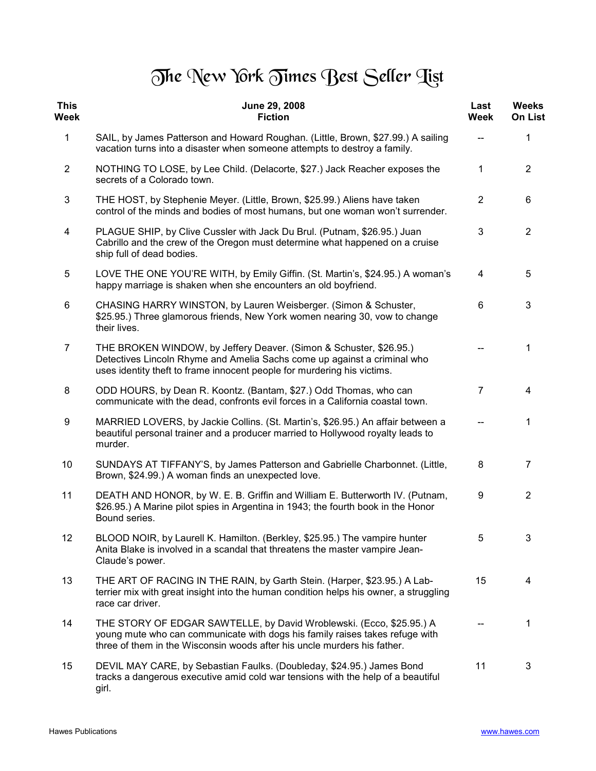## The New York Times Best Seller Tist

| <b>This</b><br>Week | June 29, 2008<br><b>Fiction</b>                                                                                                                                                                                                  | Last<br>Week   | <b>Weeks</b><br><b>On List</b> |
|---------------------|----------------------------------------------------------------------------------------------------------------------------------------------------------------------------------------------------------------------------------|----------------|--------------------------------|
| $\mathbf{1}$        | SAIL, by James Patterson and Howard Roughan. (Little, Brown, \$27.99.) A sailing<br>vacation turns into a disaster when someone attempts to destroy a family.                                                                    |                | 1                              |
| $\overline{2}$      | NOTHING TO LOSE, by Lee Child. (Delacorte, \$27.) Jack Reacher exposes the<br>secrets of a Colorado town.                                                                                                                        | $\mathbf{1}$   | $\overline{2}$                 |
| 3                   | THE HOST, by Stephenie Meyer. (Little, Brown, \$25.99.) Aliens have taken<br>control of the minds and bodies of most humans, but one woman won't surrender.                                                                      | $\overline{2}$ | 6                              |
| 4                   | PLAGUE SHIP, by Clive Cussler with Jack Du Brul. (Putnam, \$26.95.) Juan<br>Cabrillo and the crew of the Oregon must determine what happened on a cruise<br>ship full of dead bodies.                                            | 3              | $\overline{2}$                 |
| 5                   | LOVE THE ONE YOU'RE WITH, by Emily Giffin. (St. Martin's, \$24.95.) A woman's<br>happy marriage is shaken when she encounters an old boyfriend.                                                                                  | 4              | 5                              |
| 6                   | CHASING HARRY WINSTON, by Lauren Weisberger. (Simon & Schuster,<br>\$25.95.) Three glamorous friends, New York women nearing 30, vow to change<br>their lives.                                                                   | 6              | 3                              |
| $\overline{7}$      | THE BROKEN WINDOW, by Jeffery Deaver. (Simon & Schuster, \$26.95.)<br>Detectives Lincoln Rhyme and Amelia Sachs come up against a criminal who<br>uses identity theft to frame innocent people for murdering his victims.        |                | 1                              |
| 8                   | ODD HOURS, by Dean R. Koontz. (Bantam, \$27.) Odd Thomas, who can<br>communicate with the dead, confronts evil forces in a California coastal town.                                                                              | $\overline{7}$ | 4                              |
| 9                   | MARRIED LOVERS, by Jackie Collins. (St. Martin's, \$26.95.) An affair between a<br>beautiful personal trainer and a producer married to Hollywood royalty leads to<br>murder.                                                    | $-\!$ $\!-$    | 1                              |
| 10                  | SUNDAYS AT TIFFANY'S, by James Patterson and Gabrielle Charbonnet. (Little,<br>Brown, \$24.99.) A woman finds an unexpected love.                                                                                                | 8              | $\overline{7}$                 |
| 11                  | DEATH AND HONOR, by W. E. B. Griffin and William E. Butterworth IV. (Putnam,<br>\$26.95.) A Marine pilot spies in Argentina in 1943; the fourth book in the Honor<br>Bound series.                                               | 9              | 2                              |
| 12                  | BLOOD NOIR, by Laurell K. Hamilton. (Berkley, \$25.95.) The vampire hunter<br>Anita Blake is involved in a scandal that threatens the master vampire Jean-<br>Claude's power.                                                    | 5              | 3                              |
| 13                  | THE ART OF RACING IN THE RAIN, by Garth Stein. (Harper, \$23.95.) A Lab-<br>terrier mix with great insight into the human condition helps his owner, a struggling<br>race car driver.                                            | 15             | 4                              |
| 14                  | THE STORY OF EDGAR SAWTELLE, by David Wroblewski. (Ecco, \$25.95.) A<br>young mute who can communicate with dogs his family raises takes refuge with<br>three of them in the Wisconsin woods after his uncle murders his father. |                | 1                              |
| 15                  | DEVIL MAY CARE, by Sebastian Faulks. (Doubleday, \$24.95.) James Bond<br>tracks a dangerous executive amid cold war tensions with the help of a beautiful<br>girl.                                                               | 11             | 3                              |